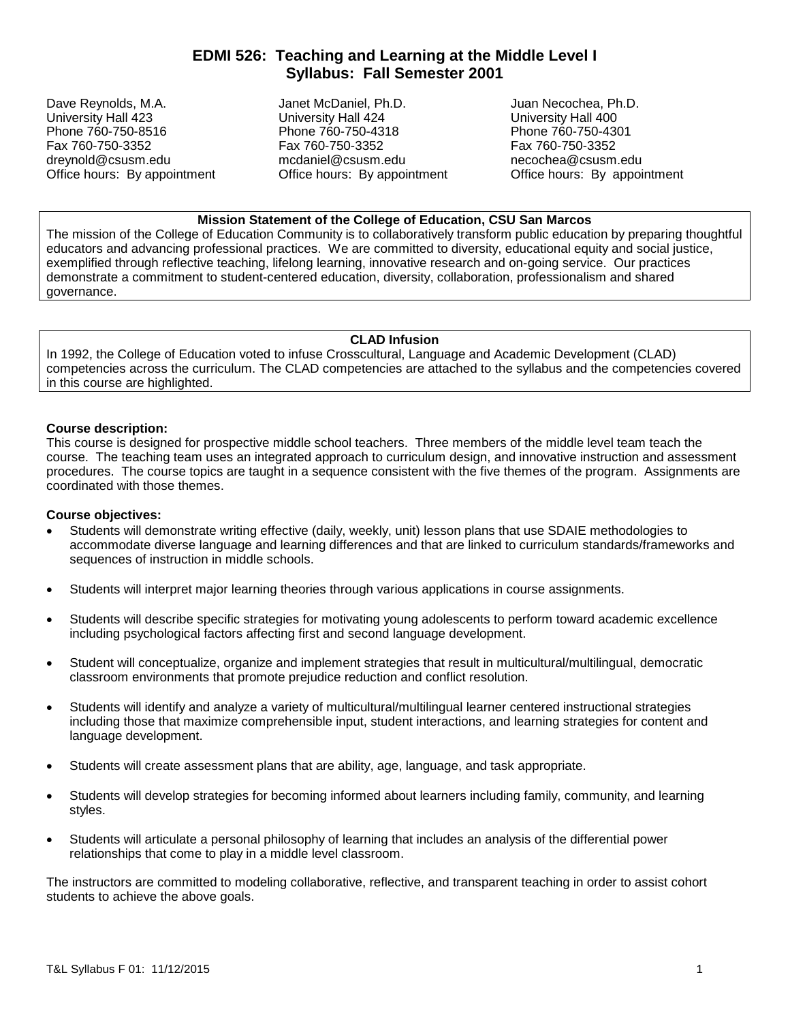# **EDMI 526: Teaching and Learning at the Middle Level I Syllabus: Fall Semester 2001**

Dave Reynolds, M.A. Janet McDaniel, Ph.D. Juan Necochea, Ph.D.<br>University Hall 423 University Hall 424 University Hall 4 University Hall 423 University Hall 424 University Hall 400<br>
Phone 760-750-8516 Phone 760-750-4318 Phone 760-750-4301 Phone 760-750-8516 Phone 760-750-4318 Phone 760-750-4301

Fax 760-750-3352 Fax 760-750-3352 Fax 760-750-3352 Office hours: By appointment

dreynold@csusm.edu mcdaniel@csusm.edu necochea@csusm.edu<br>
Office hours: By appointment Office hours: By appointment Office hours: By appointment

# **Mission Statement of the College of Education, CSU San Marcos**

The mission of the College of Education Community is to collaboratively transform public education by preparing thoughtful educators and advancing professional practices. We are committed to diversity, educational equity and social justice, exemplified through reflective teaching, lifelong learning, innovative research and on-going service. Our practices demonstrate a commitment to student-centered education, diversity, collaboration, professionalism and shared governance.

## **CLAD Infusion**

In 1992, the College of Education voted to infuse Crosscultural, Language and Academic Development (CLAD) competencies across the curriculum. The CLAD competencies are attached to the syllabus and the competencies covered in this course are highlighted.

## **Course description:**

This course is designed for prospective middle school teachers. Three members of the middle level team teach the course. The teaching team uses an integrated approach to curriculum design, and innovative instruction and assessment procedures. The course topics are taught in a sequence consistent with the five themes of the program. Assignments are coordinated with those themes.

#### **Course objectives:**

- Students will demonstrate writing effective (daily, weekly, unit) lesson plans that use SDAIE methodologies to accommodate diverse language and learning differences and that are linked to curriculum standards/frameworks and sequences of instruction in middle schools.
- Students will interpret major learning theories through various applications in course assignments.
- Students will describe specific strategies for motivating young adolescents to perform toward academic excellence including psychological factors affecting first and second language development.
- Student will conceptualize, organize and implement strategies that result in multicultural/multilingual, democratic classroom environments that promote prejudice reduction and conflict resolution.
- Students will identify and analyze a variety of multicultural/multilingual learner centered instructional strategies including those that maximize comprehensible input, student interactions, and learning strategies for content and language development.
- Students will create assessment plans that are ability, age, language, and task appropriate.
- Students will develop strategies for becoming informed about learners including family, community, and learning styles.
- Students will articulate a personal philosophy of learning that includes an analysis of the differential power relationships that come to play in a middle level classroom.

The instructors are committed to modeling collaborative, reflective, and transparent teaching in order to assist cohort students to achieve the above goals.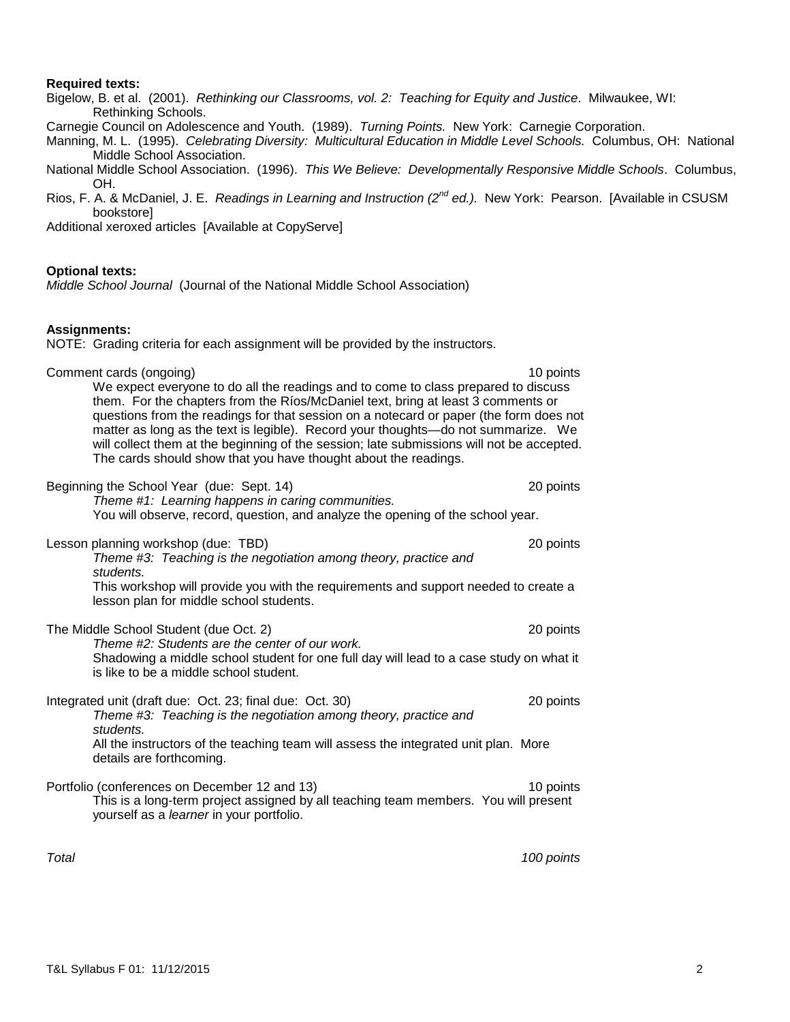## **Required texts:**

Bigelow, B. et al. (2001). *Rethinking our Classrooms, vol. 2: Teaching for Equity and Justice*. Milwaukee, WI: Rethinking Schools.

Carnegie Council on Adolescence and Youth. (1989). *Turning Points.* New York: Carnegie Corporation.

Manning, M. L. (1995). *Celebrating Diversity: Multicultural Education in Middle Level Schools.* Columbus, OH: National Middle School Association.

- National Middle School Association. (1996). *This We Believe: Developmentally Responsive Middle Schools*. Columbus, OH.
- Rios, F. A. & McDaniel, J. E. *Readings in Learning and Instruction (2nd ed.).* New York: Pearson. [Available in CSUSM bookstore]

Additional xeroxed articles [Available at CopyServe]

#### **Optional texts:**

*Middle School Journal* (Journal of the National Middle School Association)

#### **Assignments:**

NOTE: Grading criteria for each assignment will be provided by the instructors.

| Comment cards (ongoing)<br>We expect everyone to do all the readings and to come to class prepared to discuss<br>them. For the chapters from the Ríos/McDaniel text, bring at least 3 comments or<br>questions from the readings for that session on a notecard or paper (the form does not<br>matter as long as the text is legible). Record your thoughts-do not summarize. We<br>will collect them at the beginning of the session; late submissions will not be accepted.<br>The cards should show that you have thought about the readings. | 10 points |
|--------------------------------------------------------------------------------------------------------------------------------------------------------------------------------------------------------------------------------------------------------------------------------------------------------------------------------------------------------------------------------------------------------------------------------------------------------------------------------------------------------------------------------------------------|-----------|
| Beginning the School Year (due: Sept. 14)<br>Theme #1: Learning happens in caring communities.<br>You will observe, record, question, and analyze the opening of the school year.                                                                                                                                                                                                                                                                                                                                                                | 20 points |
| Lesson planning workshop (due: TBD)<br>Theme #3: Teaching is the negotiation among theory, practice and<br>students.<br>This workshop will provide you with the requirements and support needed to create a<br>lesson plan for middle school students.                                                                                                                                                                                                                                                                                           | 20 points |
| The Middle School Student (due Oct. 2)<br>Theme #2: Students are the center of our work.<br>Shadowing a middle school student for one full day will lead to a case study on what it<br>is like to be a middle school student.                                                                                                                                                                                                                                                                                                                    | 20 points |
| Integrated unit (draft due: Oct. 23; final due: Oct. 30)<br>Theme #3: Teaching is the negotiation among theory, practice and<br>students.<br>All the instructors of the teaching team will assess the integrated unit plan. More<br>details are forthcoming.                                                                                                                                                                                                                                                                                     | 20 points |
| Portfolio (conferences on December 12 and 13)<br>This is a long-term project assigned by all teaching team members. You will present<br>yourself as a learner in your portfolio.                                                                                                                                                                                                                                                                                                                                                                 | 10 points |

*Total 100 points*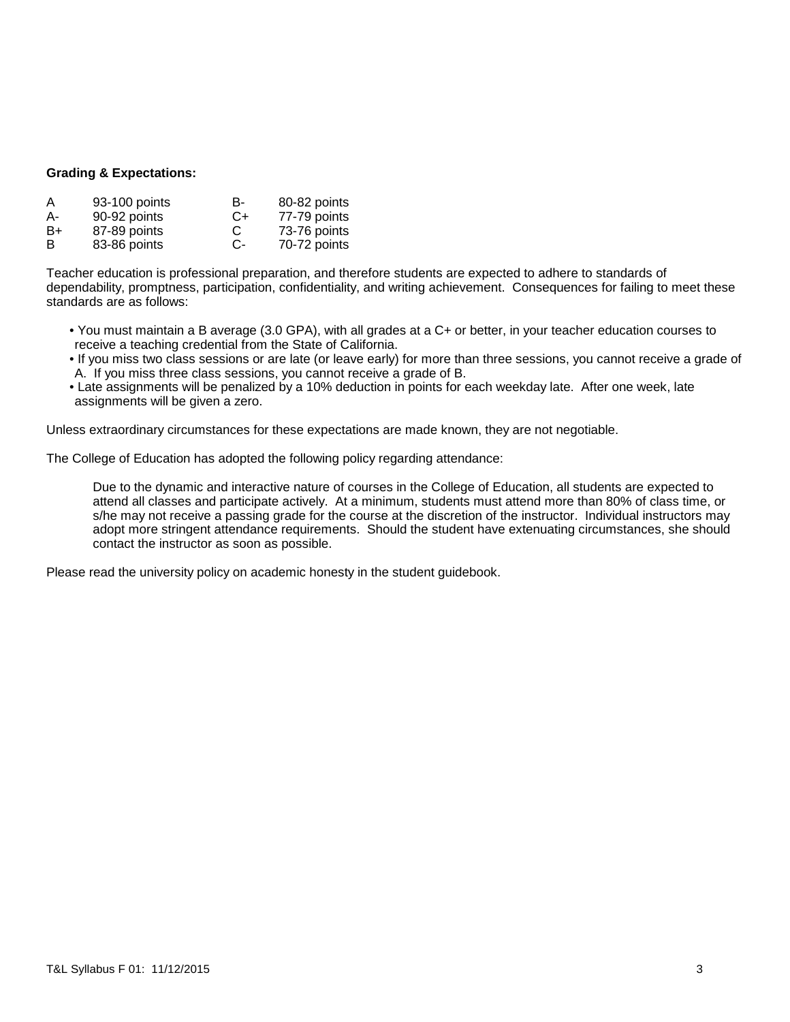## **Grading & Expectations:**

| A  | 93-100 points | в-   | 80-82 points |
|----|---------------|------|--------------|
| А- | 90-92 points  | $C+$ | 77-79 points |
| B+ | 87-89 points  | C    | 73-76 points |
| B  | 83-86 points  | C-   | 70-72 points |

Teacher education is professional preparation, and therefore students are expected to adhere to standards of dependability, promptness, participation, confidentiality, and writing achievement. Consequences for failing to meet these standards are as follows:

- You must maintain a B average (3.0 GPA), with all grades at a C+ or better, in your teacher education courses to receive a teaching credential from the State of California.
- If you miss two class sessions or are late (or leave early) for more than three sessions, you cannot receive a grade of A. If you miss three class sessions, you cannot receive a grade of B.
- Late assignments will be penalized by a 10% deduction in points for each weekday late. After one week, late assignments will be given a zero.

Unless extraordinary circumstances for these expectations are made known, they are not negotiable.

The College of Education has adopted the following policy regarding attendance:

Due to the dynamic and interactive nature of courses in the College of Education, all students are expected to attend all classes and participate actively. At a minimum, students must attend more than 80% of class time, or s/he may not receive a passing grade for the course at the discretion of the instructor. Individual instructors may adopt more stringent attendance requirements. Should the student have extenuating circumstances, she should contact the instructor as soon as possible.

Please read the university policy on academic honesty in the student guidebook.